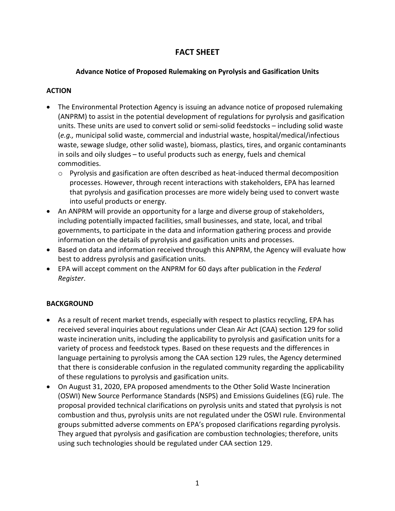# **FACT SHEET**

### **Advance Notice of Proposed Rulemaking on Pyrolysis and Gasification Units**

### **ACTION**

- The Environmental Protection Agency is issuing an advance notice of proposed rulemaking (ANPRM) to assist in the potential development of regulations for pyrolysis and gasification units. These units are used to convert solid or semi-solid feedstocks – including solid waste (*e.g.,* municipal solid waste, commercial and industrial waste, hospital/medical/infectious waste, sewage sludge, other solid waste), biomass, plastics, tires, and organic contaminants in soils and oily sludges – to useful products such as energy, fuels and chemical commodities.
	- $\circ$  Pyrolysis and gasification are often described as heat-induced thermal decomposition processes. However, through recent interactions with stakeholders, EPA has learned that pyrolysis and gasification processes are more widely being used to convert waste into useful products or energy.
- An ANPRM will provide an opportunity for a large and diverse group of stakeholders, including potentially impacted facilities, small businesses, and state, local, and tribal governments, to participate in the data and information gathering process and provide information on the details of pyrolysis and gasification units and processes.
- Based on data and information received through this ANPRM, the Agency will evaluate how best to address pyrolysis and gasification units.
- EPA will accept comment on the ANPRM for 60 days after publication in the *Federal Register*.

## **BACKGROUND**

- As a result of recent market trends, especially with respect to plastics recycling, EPA has received several inquiries about regulations under Clean Air Act (CAA) section 129 for solid waste incineration units, including the applicability to pyrolysis and gasification units for a variety of process and feedstock types. Based on these requests and the differences in language pertaining to pyrolysis among the CAA section 129 rules, the Agency determined that there is considerable confusion in the regulated community regarding the applicability of these regulations to pyrolysis and gasification units.
- On August 31, 2020, EPA proposed amendments to the Other Solid Waste Incineration (OSWI) New Source Performance Standards (NSPS) and Emissions Guidelines (EG) rule. The proposal provided technical clarifications on pyrolysis units and stated that pyrolysis is not combustion and thus, pyrolysis units are not regulated under the OSWI rule. Environmental groups submitted adverse comments on EPA's proposed clarifications regarding pyrolysis. They argued that pyrolysis and gasification are combustion technologies; therefore, units using such technologies should be regulated under CAA section 129.